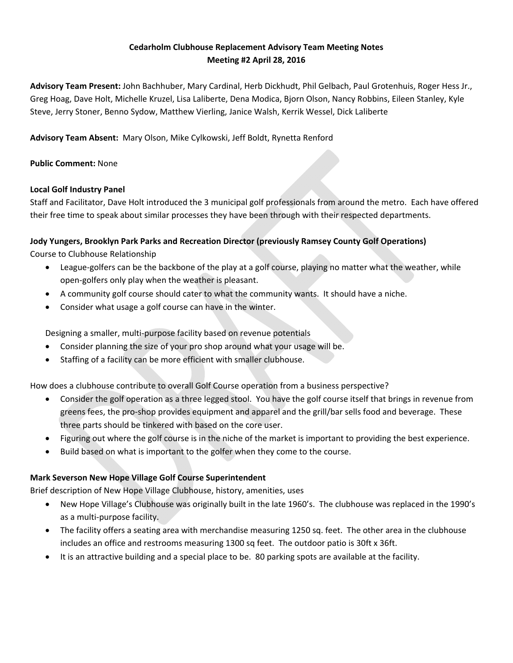## **Cedarholm Clubhouse Replacement Advisory Team Meeting Notes Meeting #2 April 28, 2016**

**Advisory Team Present:** John Bachhuber, Mary Cardinal, Herb Dickhudt, Phil Gelbach, Paul Grotenhuis, Roger Hess Jr., Greg Hoag, Dave Holt, Michelle Kruzel, Lisa Laliberte, Dena Modica, Bjorn Olson, Nancy Robbins, Eileen Stanley, Kyle Steve, Jerry Stoner, Benno Sydow, Matthew Vierling, Janice Walsh, Kerrik Wessel, Dick Laliberte

**Advisory Team Absent:** Mary Olson, Mike Cylkowski, Jeff Boldt, Rynetta Renford

## **Public Comment:** None

#### **Local Golf Industry Panel**

Staff and Facilitator, Dave Holt introduced the 3 municipal golf professionals from around the metro. Each have offered their free time to speak about similar processes they have been through with their respected departments.

#### **Jody Yungers, Brooklyn Park Parks and Recreation Director (previously Ramsey County Golf Operations)**

Course to Clubhouse Relationship

- League-golfers can be the backbone of the play at a golf course, playing no matter what the weather, while open‐golfers only play when the weather is pleasant.
- A community golf course should cater to what the community wants. It should have a niche.
- Consider what usage a golf course can have in the winter.

Designing a smaller, multi‐purpose facility based on revenue potentials

- Consider planning the size of your pro shop around what your usage will be.
- Staffing of a facility can be more efficient with smaller clubhouse.

How does a clubhouse contribute to overall Golf Course operation from a business perspective?

- Consider the golf operation as a three legged stool. You have the golf course itself that brings in revenue from greens fees, the pro‐shop provides equipment and apparel and the grill/bar sells food and beverage. These three parts should be tinkered with based on the core user.
- Figuring out where the golf course is in the niche of the market is important to providing the best experience.
- Build based on what is important to the golfer when they come to the course.

# **Mark Severson New Hope Village Golf Course Superintendent**

Brief description of New Hope Village Clubhouse, history, amenities, uses

- New Hope Village's Clubhouse was originally built in the late 1960's. The clubhouse was replaced in the 1990's as a multi‐purpose facility.
- The facility offers a seating area with merchandise measuring 1250 sq. feet. The other area in the clubhouse includes an office and restrooms measuring 1300 sq feet. The outdoor patio is 30ft x 36ft.
- It is an attractive building and a special place to be. 80 parking spots are available at the facility.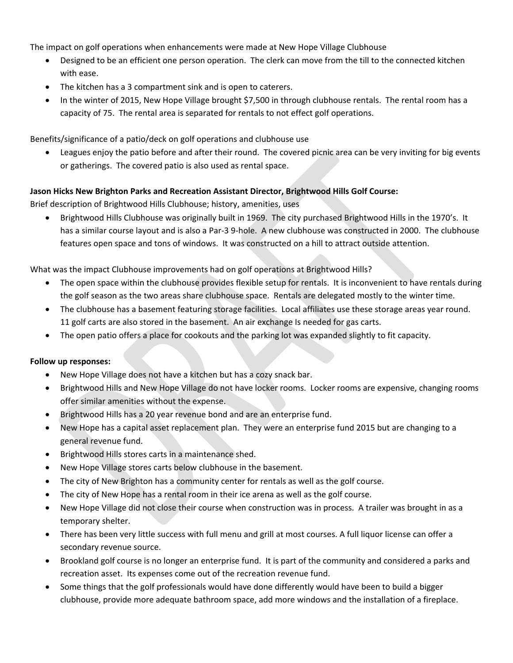The impact on golf operations when enhancements were made at New Hope Village Clubhouse

- Designed to be an efficient one person operation. The clerk can move from the till to the connected kitchen with ease.
- The kitchen has a 3 compartment sink and is open to caterers.
- In the winter of 2015, New Hope Village brought \$7,500 in through clubhouse rentals. The rental room has a capacity of 75. The rental area is separated for rentals to not effect golf operations.

Benefits/significance of a patio/deck on golf operations and clubhouse use

 Leagues enjoy the patio before and after their round. The covered picnic area can be very inviting for big events or gatherings. The covered patio is also used as rental space.

## **Jason Hicks New Brighton Parks and Recreation Assistant Director, Brightwood Hills Golf Course:**

Brief description of Brightwood Hills Clubhouse; history, amenities, uses

 Brightwood Hills Clubhouse was originally built in 1969. The city purchased Brightwood Hills in the 1970's. It has a similar course layout and is also a Par-3 9-hole. A new clubhouse was constructed in 2000. The clubhouse features open space and tons of windows. It was constructed on a hill to attract outside attention.

What was the impact Clubhouse improvements had on golf operations at Brightwood Hills?

- The open space within the clubhouse provides flexible setup for rentals. It is inconvenient to have rentals during the golf season as the two areas share clubhouse space. Rentals are delegated mostly to the winter time.
- The clubhouse has a basement featuring storage facilities. Local affiliates use these storage areas year round. 11 golf carts are also stored in the basement. An air exchange Is needed for gas carts.
- The open patio offers a place for cookouts and the parking lot was expanded slightly to fit capacity.

## **Follow up responses:**

- New Hope Village does not have a kitchen but has a cozy snack bar.
- Brightwood Hills and New Hope Village do not have locker rooms. Locker rooms are expensive, changing rooms offer similar amenities without the expense.
- Brightwood Hills has a 20 year revenue bond and are an enterprise fund.
- New Hope has a capital asset replacement plan. They were an enterprise fund 2015 but are changing to a general revenue fund.
- Brightwood Hills stores carts in a maintenance shed.
- New Hope Village stores carts below clubhouse in the basement.
- The city of New Brighton has a community center for rentals as well as the golf course.
- The city of New Hope has a rental room in their ice arena as well as the golf course.
- New Hope Village did not close their course when construction was in process. A trailer was brought in as a temporary shelter.
- There has been very little success with full menu and grill at most courses. A full liquor license can offer a secondary revenue source.
- Brookland golf course is no longer an enterprise fund. It is part of the community and considered a parks and recreation asset. Its expenses come out of the recreation revenue fund.
- Some things that the golf professionals would have done differently would have been to build a bigger clubhouse, provide more adequate bathroom space, add more windows and the installation of a fireplace.